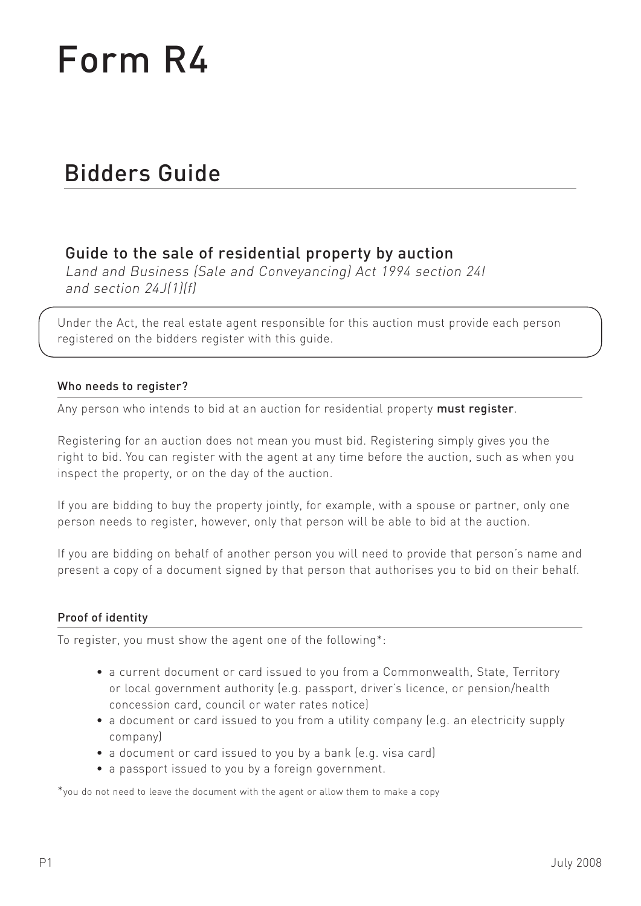# Form R4

## Bidders Guide

### Guide to the sale of residential property by auction

Land and Business (Sale and Conveyancing) Act 1994 section 24I and section 24J(1)(f)

Under the Act, the real estate agent responsible for this auction must provide each person registered on the bidders register with this guide.

#### Who needs to register?

Any person who intends to bid at an auction for residential property must register.

Registering for an auction does not mean you must bid. Registering simply gives you the right to bid. You can register with the agent at any time before the auction, such as when you inspect the property, or on the day of the auction.

If you are bidding to buy the property jointly, for example, with a spouse or partner, only one person needs to register, however, only that person will be able to bid at the auction.

If you are bidding on behalf of another person you will need to provide that person's name and present a copy of a document signed by that person that authorises you to bid on their behalf.

#### Proof of identity

To register, you must show the agent one of the following\*:

- a current document or card issued to you from a Commonwealth, State, Territory or local government authority (e.g. passport, driver's licence, or pension/health concession card, council or water rates notice)
- a document or card issued to you from a utility company (e.g. an electricity supply company)
- a document or card issued to you by a bank (e.g. visa card)
- a passport issued to you by a foreign government.

\*you do not need to leave the document with the agent or allow them to make a copy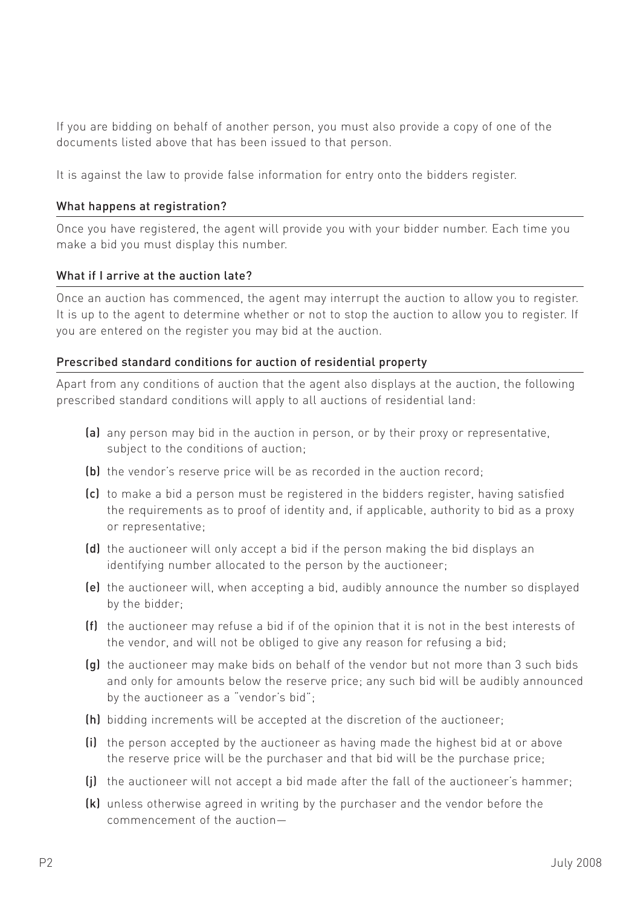If you are bidding on behalf of another person, you must also provide a copy of one of the documents listed above that has been issued to that person.

It is against the law to provide false information for entry onto the bidders register.

#### What happens at registration?

Once you have registered, the agent will provide you with your bidder number. Each time you make a bid you must display this number.

#### What if I arrive at the auction late?

Once an auction has commenced, the agent may interrupt the auction to allow you to register. It is up to the agent to determine whether or not to stop the auction to allow you to register. If you are entered on the register you may bid at the auction.

#### Prescribed standard conditions for auction of residential property

Apart from any conditions of auction that the agent also displays at the auction, the following prescribed standard conditions will apply to all auctions of residential land:

- (a) any person may bid in the auction in person, or by their proxy or representative, subject to the conditions of auction;
- (b) the vendor's reserve price will be as recorded in the auction record;
- (c) to make a bid a person must be registered in the bidders register, having satisfied the requirements as to proof of identity and, if applicable, authority to bid as a proxy or representative;
- (d) the auctioneer will only accept a bid if the person making the bid displays an identifying number allocated to the person by the auctioneer;
- (e) the auctioneer will, when accepting a bid, audibly announce the number so displayed by the bidder;
- (f) the auctioneer may refuse a bid if of the opinion that it is not in the best interests of the vendor, and will not be obliged to give any reason for refusing a bid;
- (g) the auctioneer may make bids on behalf of the vendor but not more than 3 such bids and only for amounts below the reserve price; any such bid will be audibly announced by the auctioneer as a "vendor's bid";
- (h) bidding increments will be accepted at the discretion of the auctioneer;
- (i) the person accepted by the auctioneer as having made the highest bid at or above the reserve price will be the purchaser and that bid will be the purchase price;
- (j) the auctioneer will not accept a bid made after the fall of the auctioneer's hammer;
- (k) unless otherwise agreed in writing by the purchaser and the vendor before the commencement of the auction—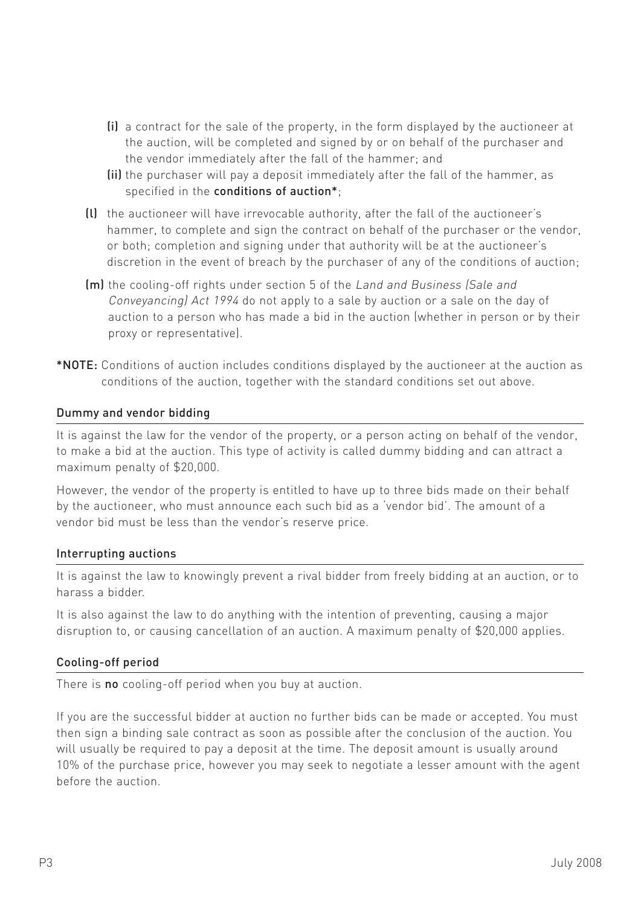- (i) a contract for the sale of the property, in the form displayed by the auctioneer at the auction, will be completed and signed by or on behalf of the purchaser and the vendor immediately after the fall of the hammer; and
- (ii) the purchaser will pay a deposit immediately after the fall of the hammer, as specified in the conditions of auction\*;
- (l) the auctioneer will have irrevocable authority, after the fall of the auctioneer's hammer, to complete and sign the contract on behalf of the purchaser or the vendor, or both; completion and signing under that authority will be at the auctioneer's discretion in the event of breach by the purchaser of any of the conditions of auction;
- (m) the cooling-off rights under section 5 of the Land and Business (Sale and Conveyancing) Act 1994 do not apply to a sale by auction or a sale on the day of auction to a person who has made a bid in the auction (whether in person or by their proxy or representative).
- \*NOTE: Conditions of auction includes conditions displayed by the auctioneer at the auction as conditions of the auction, together with the standard conditions set out above.

#### Dummy and vendor bidding

It is against the law for the vendor of the property, or a person acting on behalf of the vendor, to make a bid at the auction. This type of activity is called dummy bidding and can attract a maximum penalty of \$20,000.

However, the vendor of the property is entitled to have up to three bids made on their behalf by the auctioneer, who must announce each such bid as a 'vendor bid'. The amount of a vendor bid must be less than the vendor's reserve price.

#### Interrupting auctions

It is against the law to knowingly prevent a rival bidder from freely bidding at an auction, or to harass a bidder.

It is also against the law to do anything with the intention of preventing, causing a major disruption to, or causing cancellation of an auction. A maximum penalty of \$20,000 applies.

#### Cooling-off period

There is no cooling-off period when you buy at auction.

If you are the successful bidder at auction no further bids can be made or accepted. You must then sign a binding sale contract as soon as possible after the conclusion of the auction. You will usually be required to pay a deposit at the time. The deposit amount is usually around 10% of the purchase price, however you may seek to negotiate a lesser amount with the agent before the auction.